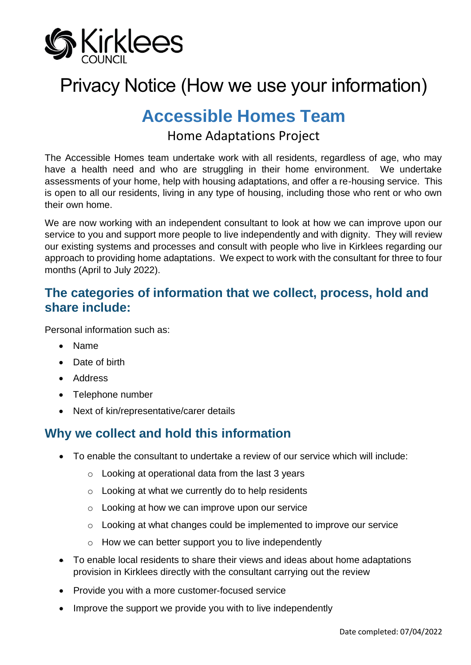

# Privacy Notice (How we use your information)

## **Accessible Homes Team**

## Home Adaptations Project

The Accessible Homes team undertake work with all residents, regardless of age, who may have a health need and who are struggling in their home environment. We undertake assessments of your home, help with housing adaptations, and offer a re-housing service. This is open to all our residents, living in any type of housing, including those who rent or who own their own home.

We are now working with an independent consultant to look at how we can improve upon our service to you and support more people to live independently and with dignity. They will review our existing systems and processes and consult with people who live in Kirklees regarding our approach to providing home adaptations. We expect to work with the consultant for three to four months (April to July 2022).

## **The categories of information that we collect, process, hold and share include:**

Personal information such as:

- Name
- Date of birth
- Address
- Telephone number
- Next of kin/representative/carer details

## **Why we collect and hold this information**

- To enable the consultant to undertake a review of our service which will include:
	- o Looking at operational data from the last 3 years
	- o Looking at what we currently do to help residents
	- o Looking at how we can improve upon our service
	- o Looking at what changes could be implemented to improve our service
	- o How we can better support you to live independently
- To enable local residents to share their views and ideas about home adaptations provision in Kirklees directly with the consultant carrying out the review
- Provide you with a more customer-focused service
- Improve the support we provide you with to live independently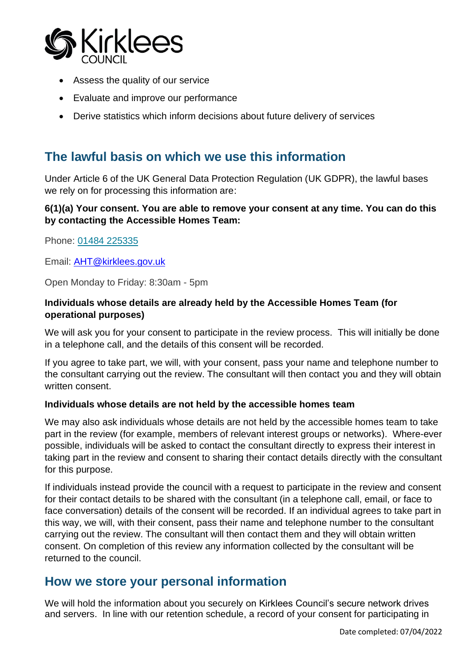

- Assess the quality of our service
- Evaluate and improve our performance
- Derive statistics which inform decisions about future delivery of services

## **The lawful basis on which we use this information**

Under Article 6 of the UK General Data Protection Regulation (UK GDPR), the lawful bases we rely on for processing this information are:

#### **6(1)(a) Your consent. You are able to remove your consent at any time. You can do this by contacting the Accessible Homes Team:**

Phone: [01484 225335](tel:01484225335)

Email: [AHT@kirklees.gov.uk](mailto:AHT@kirklees.gov.uk)

Open Monday to Friday: 8:30am - 5pm

#### **Individuals whose details are already held by the Accessible Homes Team (for operational purposes)**

We will ask you for your consent to participate in the review process. This will initially be done in a telephone call, and the details of this consent will be recorded.

If you agree to take part, we will, with your consent, pass your name and telephone number to the consultant carrying out the review. The consultant will then contact you and they will obtain written consent.

#### **Individuals whose details are not held by the accessible homes team**

We may also ask individuals whose details are not held by the accessible homes team to take part in the review (for example, members of relevant interest groups or networks). Where-ever possible, individuals will be asked to contact the consultant directly to express their interest in taking part in the review and consent to sharing their contact details directly with the consultant for this purpose.

If individuals instead provide the council with a request to participate in the review and consent for their contact details to be shared with the consultant (in a telephone call, email, or face to face conversation) details of the consent will be recorded. If an individual agrees to take part in this way, we will, with their consent, pass their name and telephone number to the consultant carrying out the review. The consultant will then contact them and they will obtain written consent. On completion of this review any information collected by the consultant will be returned to the council.

### **How we store your personal information**

We will hold the information about you securely on Kirklees Council's secure network drives and servers. In line with our retention schedule, a record of your consent for participating in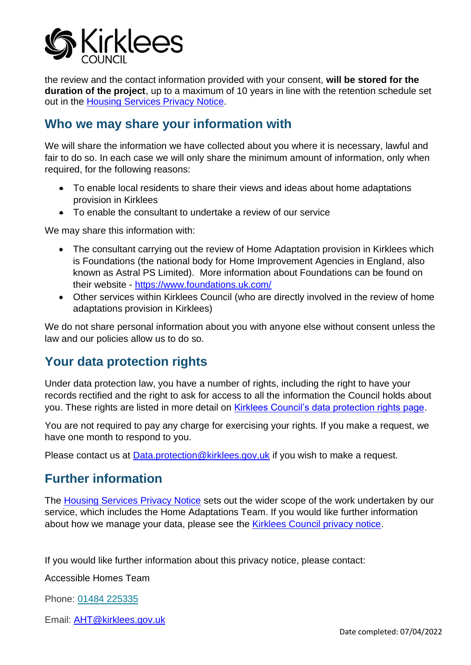

the review and the contact information provided with your consent, **will be stored for the duration of the project**, up to a maximum of 10 years in line with the retention schedule set out in the [Housing Services Privacy Notice.](https://www.kirklees.gov.uk/beta/information-and-data/pdf/privacy-notice-housing-services.pdf)

## **Who we may share your information with**

We will share the information we have collected about you where it is necessary, lawful and fair to do so. In each case we will only share the minimum amount of information, only when required, for the following reasons:

- To enable local residents to share their views and ideas about home adaptations provision in Kirklees
- To enable the consultant to undertake a review of our service

We may share this information with:

- The consultant carrying out the review of Home Adaptation provision in Kirklees which is Foundations (the national body for Home Improvement Agencies in England, also known as Astral PS Limited). More information about Foundations can be found on their website - <https://www.foundations.uk.com/>
- Other services within Kirklees Council (who are directly involved in the review of home adaptations provision in Kirklees)

We do not share personal information about you with anyone else without consent unless the law and our policies allow us to do so.

## **Your data protection rights**

Under data protection law, you have a number of rights, including the right to have your records rectified and the right to ask for access to all the information the Council holds about you. These rights are listed in more detail on **Kirklees Council's data protection rights page**.

You are not required to pay any charge for exercising your rights. If you make a request, we have one month to respond to you.

Please contact us at [Data.protection@kirklees.gov.uk](mailto:Data.protection@kirklees.gov.uk) if you wish to make a request.

## **Further information**

The [Housing Services Privacy Notice](https://www.kirklees.gov.uk/beta/information-and-data/pdf/privacy-notice-housing-services.pdf) sets out the wider scope of the work undertaken by our service, which includes the Home Adaptations Team. If you would like further information about how we manage your data, please see the Kirklees Council privacy notice.

If you would like further information about this privacy notice, please contact:

Accessible Homes Team

Phone: [01484 225335](tel:01484225335)

Email: [AHT@kirklees.gov.uk](mailto:AHT@kirklees.gov.uk)